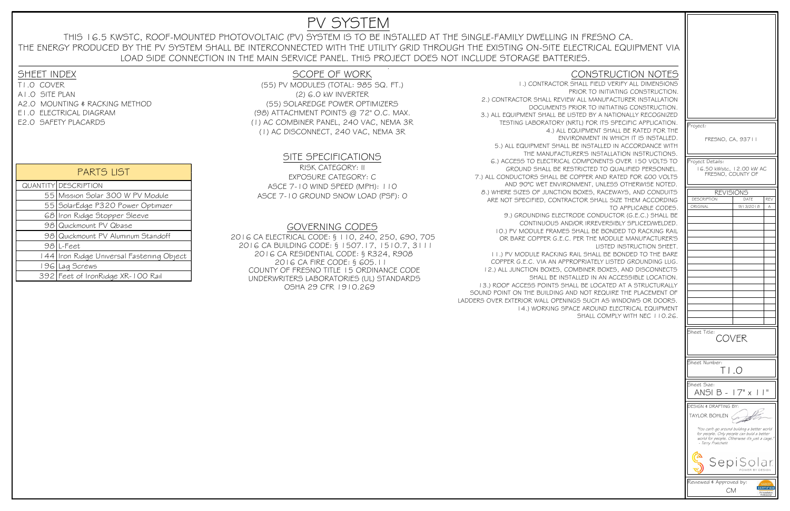| Project:                                                                                                                                                          |           |                                                     |  |
|-------------------------------------------------------------------------------------------------------------------------------------------------------------------|-----------|-----------------------------------------------------|--|
| FRESNO, CA, 93711                                                                                                                                                 |           |                                                     |  |
| Project Details:                                                                                                                                                  |           |                                                     |  |
| 16.50 kWstc, 12.00 kW AC<br>FRESNO, COUNTY OF                                                                                                                     |           |                                                     |  |
| <b>REVISIONS</b>                                                                                                                                                  |           |                                                     |  |
| <b>DESCRIPTION</b>                                                                                                                                                | DATE      | <b>REV</b>                                          |  |
| ORIGINAL                                                                                                                                                          | 9/13/2018 | Α                                                   |  |
|                                                                                                                                                                   |           |                                                     |  |
|                                                                                                                                                                   |           |                                                     |  |
|                                                                                                                                                                   |           |                                                     |  |
|                                                                                                                                                                   |           |                                                     |  |
|                                                                                                                                                                   |           |                                                     |  |
|                                                                                                                                                                   |           |                                                     |  |
|                                                                                                                                                                   |           |                                                     |  |
|                                                                                                                                                                   |           |                                                     |  |
|                                                                                                                                                                   |           |                                                     |  |
|                                                                                                                                                                   |           |                                                     |  |
|                                                                                                                                                                   |           |                                                     |  |
|                                                                                                                                                                   |           |                                                     |  |
|                                                                                                                                                                   |           |                                                     |  |
|                                                                                                                                                                   |           |                                                     |  |
|                                                                                                                                                                   |           |                                                     |  |
| Sheet Title:<br>COVER                                                                                                                                             |           |                                                     |  |
|                                                                                                                                                                   |           |                                                     |  |
| Sheet Number:<br>$\overline{\phantom{0}}$ $\overline{\phantom{0}}$                                                                                                |           |                                                     |  |
| Sheet Size:<br>17"<br>н<br>ANSI B<br>I<br>$\times$                                                                                                                |           |                                                     |  |
| DESIGN & DRAFTING BY:                                                                                                                                             |           |                                                     |  |
| TAYLOR BOHLEN                                                                                                                                                     |           |                                                     |  |
| "You can't go around building a better world<br>for people. Only people can build a better<br>world for people. Otherwise it's just a cage."<br>- Terry Pratchett |           |                                                     |  |
| SepiSolar<br>POWER BY DESIGN                                                                                                                                      |           |                                                     |  |
| Reviewed & Approved by:                                                                                                                                           |           |                                                     |  |
| <b>CM</b>                                                                                                                                                         |           | <b>CERTIFIED</b><br>PV Installation<br>Professional |  |

QUANTITY DESCRIPTION 55 Mission Solar 300 W PV Module SolarEdge P320 Power Optimizer Iron Ridge Stopper Sleeve Quickmount PV Qbase Quickmount PV Aluminum Standoff 98 L-Feet Iron Ridge Universal Fastening Object Lag Screws Feet of IronRidge XR-100 Rail

### PARTS LIST

- T1.0 COVER A1.0 SITE PLAN A2.0 MOUNTING & RACKING METHODE1.0 ELECTRICAL DIAGRAM
- E2.0 SAFETY PLACARDS

(55) PV MODULES (TOTAL: 985 SQ. FT.) (2) 6.0 kW INVERTER (55) SOLAREDGE POWER OPTIMIZERS (98) ATTACHMENT POINTS @ 72" O.C. MAX. (1) AC COMBINER PANEL, 240 VAC, NEMA 3R(1) AC DISCONNECT, 240 VAC, NEMA 3R

### SCOPE OF WORK

### SITE SPECIFICATIONS

#### GOVERNING CODES

### CONSTRUCTION NOTES

 1.) CONTRACTOR SHALL FIELD VERIFY ALL DIMENSIONS PRIOR TO INITIATING CONSTRUCTION. 2.) CONTRACTOR SHALL REVIEW ALL MANUFACTURER INSTALLATION DOCUMENTS PRIOR TO INITIATING CONSTRUCTION. 3.) ALL EQUIPMENT SHALL BE LISTED BY A NATIONALLY RECOGNIZED TESTING LABORATORY (NRTL) FOR ITS SPECIFIC APPLICATION. 4.) ALL EQUIPMENT SHALL BE RATED FOR THE ENVIRONMENT IN WHICH IT IS INSTALLED. 5.) ALL EQUIPMENT SHALL BE INSTALLED IN ACCORDANCE WITH THE MANUFACTURER'S INSTALLATION INSTRUCTIONS. 6.) ACCESS TO ELECTRICAL COMPONENTS OVER 150 VOLTS TO GROUND SHALL BE RESTRICTED TO QUALIFIED PERSONNEL. 7.) ALL CONDUCTORS SHALL BE COPPER AND RATED FOR 600 VOLTS AND 90°C WET ENVIRONMENT, UNLESS OTHERWISE NOTED. 8.) WHERE SIZES OF JUNCTION BOXES, RACEWAYS, AND CONDUITS ARE NOT SPECIFIED, CONTRACTOR SHALL SIZE THEM ACCORDINGTO APPLICABLE CODES.

 2016 CA ELECTRICAL CODE: § 110, 240, 250, 690, 705 2016 CA BUILDING CODE: § 1507.17, 1510.7, 31112016 CA RESIDENTIAL CODE: § R324, R9082016 CA FIRE CODE: § 605.11 COUNTY OF FRESNO TITLE 15 ORDINANCE CODE UNDERWRITERS LABORATORIES (UL) STANDARDSOSHA 29 CFR 1910.269

 9.) GROUNDING ELECTRODE CONDUCTOR (G.E.C.) SHALL BE CONTINUOUS AND/OR IRREVERSIBLY SPLICED/WELDED. 10.) PV MODULE FRAMES SHALL BE BONDED TO RACKING RAILOR BARE COPPER G.E.C. PER THE MODULE MANUFACTURER'S

 LISTED INSTRUCTION SHEET. 11.) PV MODULE RACKING RAIL SHALL BE BONDED TO THE BARE COPPER G.E.C. VIA AN APPROPRIATELY LISTED GROUNDING LUG. 12.) ALL JUNCTION BOXES, COMBINER BOXES, AND DISCONNECTS SHALL BE INSTALLED IN AN ACCESSIBLE LOCATION. 13.) ROOF ACCESS POINTS SHALL BE LOCATED AT A STRUCTURALLY SOUND POINT ON THE BUILDING AND NOT REQUIRE THE PLACEMENT OF LADDERS OVER EXTERIOR WALL OPENINGS SUCH AS WINDOWS OR DOORS. 14.) WORKING SPACE AROUND ELECTRICAL EQUIPMENTSHALL COMPLY WITH NEC 110.26.

# PV SYSTEM

THIS 16.5 KWSTC, ROOF-MOUNTED PHOTOVOLTAIC (PV) SYSTEM IS TO BE INSTALLED AT THE SINGLE-FAMILY DWELLING IN FRESNO CA. THE ENERGY PRODUCED BY THE PV SYSTEM SHALL BE INTERCONNECTED WITH THE UTILITY GRID THROUGH THE EXISTING ON-SITE ELECTRICAL EQUIPMENT VIALOAD SIDE CONNECTION IN THE MAIN SERVICE PANEL. THIS PROJECT DOES NOT INCLUDE STORAGE BATTERIES.

## **SHEET INDEX**

RISK CATEGORY: IIEXPOSURE CATEGORY: C ASCE 7-10 WIND SPEED (MPH): 110ASCE 7-10 GROUND SNOW LOAD (PSF): 0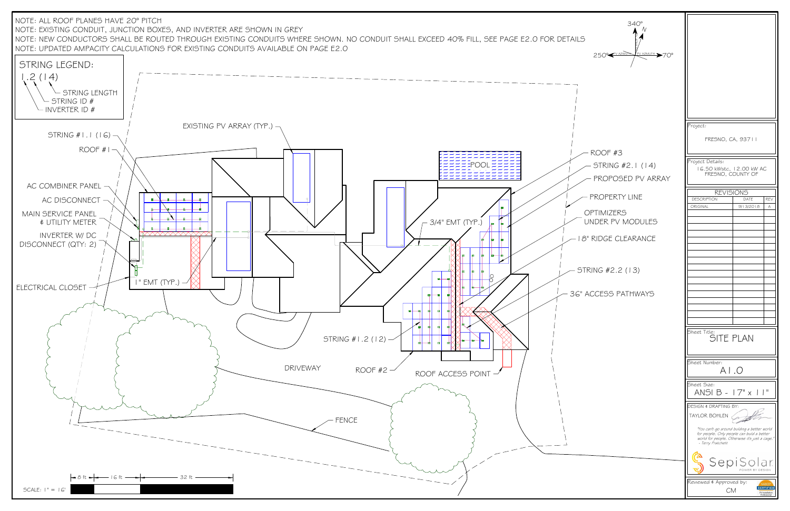| $340^\circ$<br>AILS<br>$\sqrt{\frac{PV}{P}}$ AZIMUTH $\geq 70^{\circ}$<br>250° <razimum< td=""><td></td><td></td></razimum<> |                                                                                                                                                                  |                              |
|------------------------------------------------------------------------------------------------------------------------------|------------------------------------------------------------------------------------------------------------------------------------------------------------------|------------------------------|
|                                                                                                                              |                                                                                                                                                                  |                              |
|                                                                                                                              | Project:<br>FRESNO, CA, 93711                                                                                                                                    |                              |
| ROOF #3                                                                                                                      |                                                                                                                                                                  |                              |
| STRING #2.1 (14)<br>PROPOSED PV ARRAY                                                                                        | Project Details:<br>16.50 kWstc, 12.00 kW AC<br>FRESNO, COUNTY OF                                                                                                |                              |
|                                                                                                                              | <b>REVISIONS</b>                                                                                                                                                 |                              |
| PROPERTY LINE                                                                                                                | DATE<br><b>DESCRIPTION</b>                                                                                                                                       | REV                          |
| <b>OPTIMIZERS</b><br>UNDER PV MODULES                                                                                        | ORIGINAL<br>9/13/2018                                                                                                                                            | Α                            |
| - 18" RIDGE CLEARANCE                                                                                                        |                                                                                                                                                                  |                              |
| - STRING #2.2 (13)                                                                                                           |                                                                                                                                                                  |                              |
| <b>3G" ACCESS PATHWAYS</b>                                                                                                   |                                                                                                                                                                  |                              |
|                                                                                                                              |                                                                                                                                                                  |                              |
|                                                                                                                              |                                                                                                                                                                  |                              |
|                                                                                                                              | Sheet Title:<br>SITE PLAN                                                                                                                                        |                              |
|                                                                                                                              | Sheet Number:<br>A1.0                                                                                                                                            |                              |
|                                                                                                                              | Sheet Size:<br>ANSI B - 17" x 11"                                                                                                                                |                              |
|                                                                                                                              | DESIGN # DRAFTING BY:<br>TAYLOR BOHLEN                                                                                                                           |                              |
|                                                                                                                              | "You can't go around building a better world<br>for people. Only people can build a better<br>world for people. Otherwise it's just a cage.<br>- Terry Pratchett |                              |
|                                                                                                                              | SepiSolar<br>POWER BY DESIGN                                                                                                                                     |                              |
|                                                                                                                              | Reviewed & Approved by:<br><b>CM</b>                                                                                                                             | CERTIFIED<br>PV Installation |

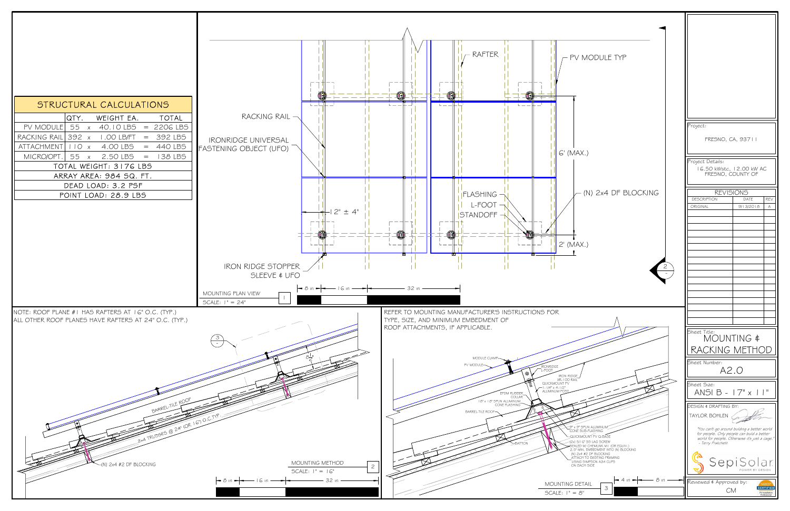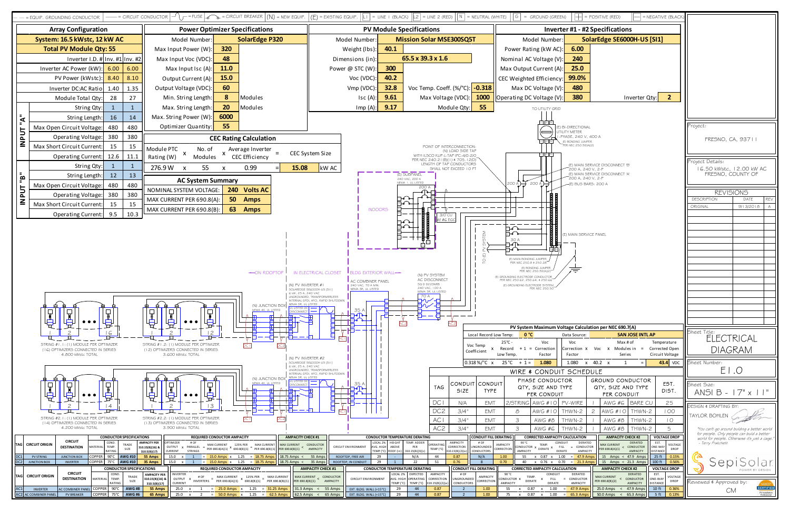| G<br>= GROUND (GREEN)                                                                                                                                                                                                                                                                                                                                                                                                                                                                                                                                                                 | $=$ POSITIVE (RED)<br>= NEGATIVE (BLACK)                                                                                                                                                                                                                                                                                                                                                                                                                          |                                                                                                                                                                                               |  |  |
|---------------------------------------------------------------------------------------------------------------------------------------------------------------------------------------------------------------------------------------------------------------------------------------------------------------------------------------------------------------------------------------------------------------------------------------------------------------------------------------------------------------------------------------------------------------------------------------|-------------------------------------------------------------------------------------------------------------------------------------------------------------------------------------------------------------------------------------------------------------------------------------------------------------------------------------------------------------------------------------------------------------------------------------------------------------------|-----------------------------------------------------------------------------------------------------------------------------------------------------------------------------------------------|--|--|
| <b>Inverter #1 - #2 Specifications</b>                                                                                                                                                                                                                                                                                                                                                                                                                                                                                                                                                |                                                                                                                                                                                                                                                                                                                                                                                                                                                                   |                                                                                                                                                                                               |  |  |
| SolarEdge SE6000H-US [SI1]<br>Model Number:                                                                                                                                                                                                                                                                                                                                                                                                                                                                                                                                           |                                                                                                                                                                                                                                                                                                                                                                                                                                                                   |                                                                                                                                                                                               |  |  |
| 6.00<br>ower Rating (kW AC):                                                                                                                                                                                                                                                                                                                                                                                                                                                                                                                                                          |                                                                                                                                                                                                                                                                                                                                                                                                                                                                   |                                                                                                                                                                                               |  |  |
| 240<br>ominal AC Voltage (V):                                                                                                                                                                                                                                                                                                                                                                                                                                                                                                                                                         |                                                                                                                                                                                                                                                                                                                                                                                                                                                                   |                                                                                                                                                                                               |  |  |
| 25.0<br>ax Output Current (A):                                                                                                                                                                                                                                                                                                                                                                                                                                                                                                                                                        |                                                                                                                                                                                                                                                                                                                                                                                                                                                                   |                                                                                                                                                                                               |  |  |
| 99.0%<br>Weighted Efficiency:                                                                                                                                                                                                                                                                                                                                                                                                                                                                                                                                                         |                                                                                                                                                                                                                                                                                                                                                                                                                                                                   |                                                                                                                                                                                               |  |  |
| Max DC Voltage (V):<br>480                                                                                                                                                                                                                                                                                                                                                                                                                                                                                                                                                            |                                                                                                                                                                                                                                                                                                                                                                                                                                                                   |                                                                                                                                                                                               |  |  |
| 380<br>rating DC Voltage (V):                                                                                                                                                                                                                                                                                                                                                                                                                                                                                                                                                         | $\overline{2}$<br>Inverter Qty:                                                                                                                                                                                                                                                                                                                                                                                                                                   |                                                                                                                                                                                               |  |  |
| TO UTILITY GRID<br>(E) BI-DIRECTIONAL<br>UTILITY METER<br>I-PHASE, 240 V, 400 A<br>$1 - 12$ N<br>(E) BONDING JUMPER<br>PER NEC 250.92(A)(2)                                                                                                                                                                                                                                                                                                                                                                                                                                           |                                                                                                                                                                                                                                                                                                                                                                                                                                                                   | Project:<br>FRESNO, CA, 93711                                                                                                                                                                 |  |  |
| $LI = L2$ N<br>(E) MAIN SERVICE DISCONNECT 'B'<br>200 A, 240 V, 2-P<br>(E) MAIN SERVICE DISCONNECT 'A'<br>200 A, 240 V, 2-P<br>200 A<br>200 A<br>(E) BUS BARS: 200 A                                                                                                                                                                                                                                                                                                                                                                                                                  |                                                                                                                                                                                                                                                                                                                                                                                                                                                                   | Project Details:<br>16.50 kWstc, 12.00 kW AC<br>FRESNO, COUNTY OF                                                                                                                             |  |  |
|                                                                                                                                                                                                                                                                                                                                                                                                                                                                                                                                                                                       |                                                                                                                                                                                                                                                                                                                                                                                                                                                                   | <b>REVISIONS</b>                                                                                                                                                                              |  |  |
|                                                                                                                                                                                                                                                                                                                                                                                                                                                                                                                                                                                       |                                                                                                                                                                                                                                                                                                                                                                                                                                                                   | <b>DESCRIPTION</b><br>DATE<br>REV                                                                                                                                                             |  |  |
| <u>ao como como como com</u><br>(E) MAIN SERVICE PANEL<br>30 A<br>N<br>(E) MAIN BONDING JUMPER<br>PER NEC 250.8 \$250.28<br>(E) BONDING JUMPER<br>PER NEC 250.92(A)(2)<br>JNDING ELECTRODE CONDUCTOR<br>NEC 250.62, 250.64, # 250.66<br><b>GROUNDING ELECTRODE SYSTEM</b><br>PER NEC 250.50<br>PV System Maximum Voltage Calculation per NEC 690.7(A)<br>0 °C<br><b>SAN JOSE INTLAP</b><br>Data Source:<br>mp:<br>°C -<br>Max # of<br>Voc<br>Voc<br>Temperature<br>$+1$ = Correction<br>Correction X<br>x Modules in<br>Corrected Open<br>ord:<br>Voc<br>$\equiv$<br>Factor<br>Factor |                                                                                                                                                                                                                                                                                                                                                                                                                                                                   | ORIGINAL<br>9/13/2018<br>Α<br>Sheet Title:<br><b>ELECTRICAL</b><br><b>DIAGRAM</b>                                                                                                             |  |  |
| Гетр.<br>i °C<br>$+ 1 =$<br>1.080<br>1.080                                                                                                                                                                                                                                                                                                                                                                                                                                                                                                                                            | Circuit Voltage<br>Series<br>40.2<br>1<br>$=$<br>43.4<br><b>VDC</b><br>x<br>X                                                                                                                                                                                                                                                                                                                                                                                     | Sheet Number:                                                                                                                                                                                 |  |  |
| WIRE & CONDUIT SCHEDULE                                                                                                                                                                                                                                                                                                                                                                                                                                                                                                                                                               |                                                                                                                                                                                                                                                                                                                                                                                                                                                                   | E1.0                                                                                                                                                                                          |  |  |
| <b>PHASE CONDUCTOR</b>                                                                                                                                                                                                                                                                                                                                                                                                                                                                                                                                                                | <b>GROUND CONDUCTOR</b><br>EST.                                                                                                                                                                                                                                                                                                                                                                                                                                   | Sheet Size:                                                                                                                                                                                   |  |  |
| QTY, SIZE AND TYPE<br>PER CONDUIT                                                                                                                                                                                                                                                                                                                                                                                                                                                                                                                                                     | QTY, SIZE AND TYPE<br>DIST.<br>PER CONDUIT                                                                                                                                                                                                                                                                                                                                                                                                                        | ANSI B - 17" x 11"                                                                                                                                                                            |  |  |
| 2/STRING  AWG # I O<br>PV-WIRE                                                                                                                                                                                                                                                                                                                                                                                                                                                                                                                                                        | 25<br>AWG #6<br><b>BARE CU</b><br>$\mathbf{I}$                                                                                                                                                                                                                                                                                                                                                                                                                    |                                                                                                                                                                                               |  |  |
| 8<br>THWN-2<br>AWG #10                                                                                                                                                                                                                                                                                                                                                                                                                                                                                                                                                                | 2<br>THWN-2<br>AWG #10<br>100                                                                                                                                                                                                                                                                                                                                                                                                                                     | DESIGN & DRAFTING BY:                                                                                                                                                                         |  |  |
| 3<br>AWG #8<br>THWN-2                                                                                                                                                                                                                                                                                                                                                                                                                                                                                                                                                                 | AWG #8<br>THWN-2<br>$\overline{10}$                                                                                                                                                                                                                                                                                                                                                                                                                               | TAYLOR BOHLEN                                                                                                                                                                                 |  |  |
| 3<br>AWG #6<br>THWN-2<br>ΝG<br><b>CORRECTED AMPACITY CALCULATION</b><br>90 °C<br>CONDUIT<br>DERATED<br>TEMP.<br><b>TY</b><br>CONDUCTOR X DERATE X<br>$=$ CONDUCTOR<br>FILL<br>1ON<br><b>AMPACITY</b><br>AMPACITY<br>DERATE<br>1.00<br>55<br>0.87<br>$\boldsymbol{\mathsf{x}}$<br>$=$<br>x<br>40<br>0.76 x<br>0.70<br>$=$<br>x<br><b>CORRECTED AMPACITY CALCULATION</b><br>DERATED<br>0 °C<br>CONDUIT<br>TEMP.                                                                                                                                                                         | 5<br>AWG #8<br>THWN-2<br><b>AMPACITY CHECK #2</b><br><b>VOLTAGE DROP</b><br>DERATED<br>EST.<br><b>MAX CURRENT</b><br>VOLTAGE<br>< CONDUCTOR<br>ONE-WAY<br>PER 690.8(A)(1)<br><b>DROP</b><br><b>AMPACITY</b><br><b>DISTANCE</b><br>25 ft<br>0.15%<br>47.9 Amps<br>15<br>Amps < 47.9 Amps<br>21.3 Amps<br>15<br>Amps < 21.3 Amps<br>$100$ ft<br>0.56%<br><b>AMPACITY CHECK #2</b><br><b>VOLTAGE DROP</b><br>EST.<br><b>DERATED</b><br><b>MAX CURRENT</b><br>VOLTAGE | "You can't go around building a better world<br>for people. Only people can build a better<br>world for people. Otherwise it's just a cage."<br>- Terry Pratchett<br>Sepis<br>POWER BY DESIGN |  |  |
| UCTOR X<br>$=$ CONDUCTOR<br>FILL<br>x<br>DERATE<br><b>ACITY</b><br>DERATE<br>AMPACITY<br>55<br>0.87<br>1.00<br>47.9 Amps<br>x<br>х<br>75<br>65.3 Amps<br>x<br>0.87<br>1.00<br>x                                                                                                                                                                                                                                                                                                                                                                                                       | < CONDUCTOR<br>ONE-WAY<br>PER 690.8(B)(2)<br><b>DROP</b><br><b>AMPACITY</b><br><b>DISTANCE</b><br>10 ft<br>25.0 Amps<br>47.9 Amps<br>0.36%<br>$\,<$<br>50.0 Amps<br>65.3 Amps<br>5 ft<br>0.13%<br>$\,<$                                                                                                                                                                                                                                                           | Reviewed & Approved by:<br><b>CERTIFIED</b><br><b>CM</b><br>PV Installation<br>Professiona                                                                                                    |  |  |